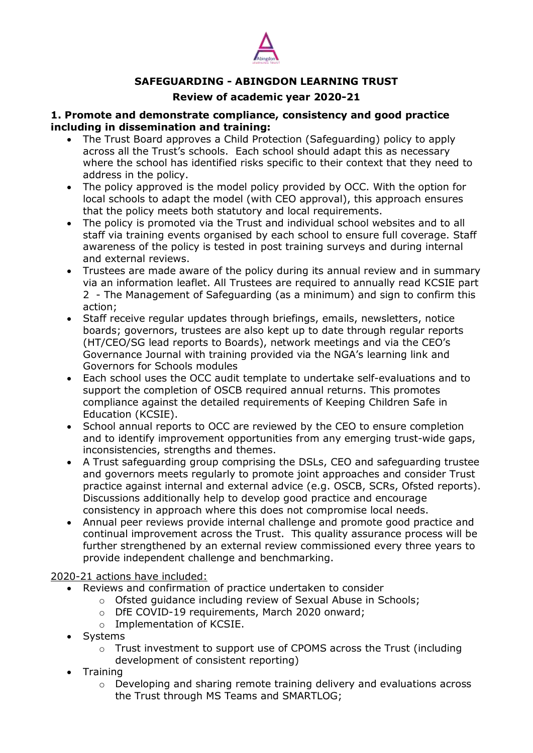

# **SAFEGUARDING - ABINGDON LEARNING TRUST**

## **Review of academic year 2020-21**

#### **1. Promote and demonstrate compliance, consistency and good practice including in dissemination and training:**

- The Trust Board approves a Child Protection (Safeguarding) policy to apply across all the Trust's schools. Each school should adapt this as necessary where the school has identified risks specific to their context that they need to address in the policy.
- The policy approved is the model policy provided by OCC. With the option for local schools to adapt the model (with CEO approval), this approach ensures that the policy meets both statutory and local requirements.
- The policy is promoted via the Trust and individual school websites and to all staff via training events organised by each school to ensure full coverage. Staff awareness of the policy is tested in post training surveys and during internal and external reviews.
- Trustees are made aware of the policy during its annual review and in summary via an information leaflet. All Trustees are required to annually read KCSIE part 2 - The Management of Safeguarding (as a minimum) and sign to confirm this action;
- Staff receive regular updates through briefings, emails, newsletters, notice boards; governors, trustees are also kept up to date through regular reports (HT/CEO/SG lead reports to Boards), network meetings and via the CEO's Governance Journal with training provided via the NGA's learning link and Governors for Schools modules
- Each school uses the OCC audit template to undertake self-evaluations and to support the completion of OSCB required annual returns. This promotes compliance against the detailed requirements of Keeping Children Safe in Education (KCSIE).
- School annual reports to OCC are reviewed by the CEO to ensure completion and to identify improvement opportunities from any emerging trust-wide gaps, inconsistencies, strengths and themes.
- A Trust safeguarding group comprising the DSLs, CEO and safeguarding trustee and governors meets regularly to promote joint approaches and consider Trust practice against internal and external advice (e.g. OSCB, SCRs, Ofsted reports). Discussions additionally help to develop good practice and encourage consistency in approach where this does not compromise local needs.
- Annual peer reviews provide internal challenge and promote good practice and continual improvement across the Trust. This quality assurance process will be further strengthened by an external review commissioned every three years to provide independent challenge and benchmarking.

## 2020-21 actions have included:

- Reviews and confirmation of practice undertaken to consider
	- o Ofsted guidance including review of Sexual Abuse in Schools;
	- o DfE COVID-19 requirements, March 2020 onward;
	- o Implementation of KCSIE.
- Systems
	- o Trust investment to support use of CPOMS across the Trust (including development of consistent reporting)
- Training
	- $\circ$  Developing and sharing remote training delivery and evaluations across the Trust through MS Teams and SMARTLOG;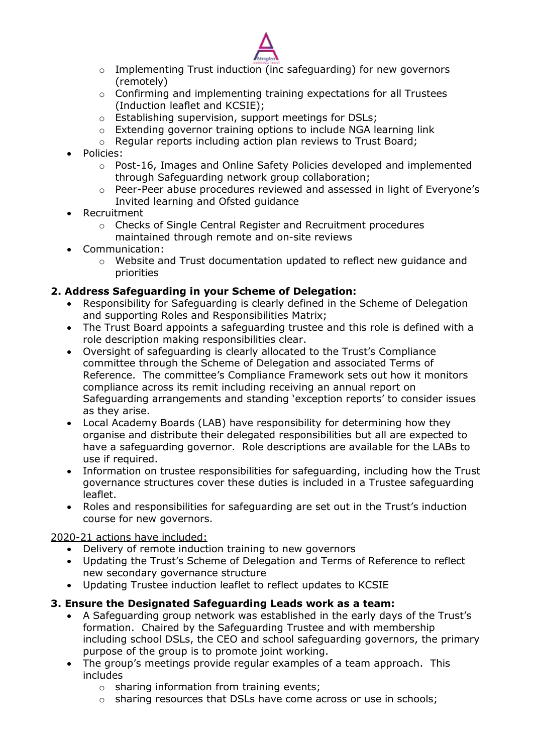

- o Implementing Trust induction (inc safeguarding) for new governors (remotely)
- o Confirming and implementing training expectations for all Trustees (Induction leaflet and KCSIE);
- o Establishing supervision, support meetings for DSLs;
- o Extending governor training options to include NGA learning link
- o Regular reports including action plan reviews to Trust Board;
- Policies:
	- $\circ$  Post-16, Images and Online Safety Policies developed and implemented through Safeguarding network group collaboration;
	- o Peer-Peer abuse procedures reviewed and assessed in light of Everyone's Invited learning and Ofsted guidance
- Recruitment
	- o Checks of Single Central Register and Recruitment procedures maintained through remote and on-site reviews
- Communication:
	- $\circ$  Website and Trust documentation updated to reflect new quidance and priorities

# **2. Address Safeguarding in your Scheme of Delegation:**

- Responsibility for Safeguarding is clearly defined in the Scheme of Delegation and supporting Roles and Responsibilities Matrix;
- The Trust Board appoints a safeguarding trustee and this role is defined with a role description making responsibilities clear.
- Oversight of safeguarding is clearly allocated to the Trust's Compliance committee through the Scheme of Delegation and associated Terms of Reference. The committee's Compliance Framework sets out how it monitors compliance across its remit including receiving an annual report on Safeguarding arrangements and standing 'exception reports' to consider issues as they arise.
- Local Academy Boards (LAB) have responsibility for determining how they organise and distribute their delegated responsibilities but all are expected to have a safeguarding governor. Role descriptions are available for the LABs to use if required.
- Information on trustee responsibilities for safeguarding, including how the Trust governance structures cover these duties is included in a Trustee safeguarding leaflet.
- Roles and responsibilities for safeguarding are set out in the Trust's induction course for new governors.

## 2020-21 actions have included:

- Delivery of remote induction training to new governors
- Updating the Trust's Scheme of Delegation and Terms of Reference to reflect new secondary governance structure
- Updating Trustee induction leaflet to reflect updates to KCSIE

# **3. Ensure the Designated Safeguarding Leads work as a team:**

- A Safeguarding group network was established in the early days of the Trust's formation. Chaired by the Safeguarding Trustee and with membership including school DSLs, the CEO and school safeguarding governors, the primary purpose of the group is to promote joint working.
- The group's meetings provide regular examples of a team approach. This includes
	- o sharing information from training events;
	- o sharing resources that DSLs have come across or use in schools;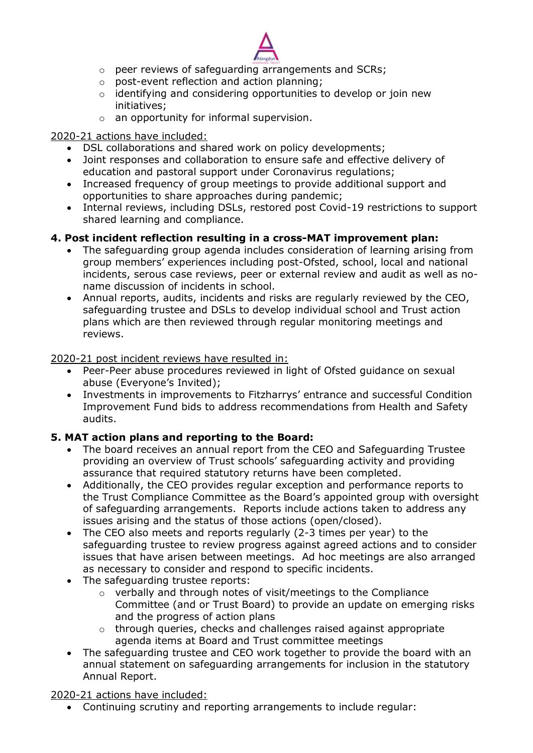

- o peer reviews of safeguarding arrangements and SCRs;
- o post-event reflection and action planning;
- o identifying and considering opportunities to develop or join new initiatives;
- $\circ$  an opportunity for informal supervision.

#### 2020-21 actions have included:

- DSL collaborations and shared work on policy developments;
- Joint responses and collaboration to ensure safe and effective delivery of education and pastoral support under Coronavirus regulations;
- Increased frequency of group meetings to provide additional support and opportunities to share approaches during pandemic;
- Internal reviews, including DSLs, restored post Covid-19 restrictions to support shared learning and compliance.

## **4. Post incident reflection resulting in a cross-MAT improvement plan:**

- The safeguarding group agenda includes consideration of learning arising from group members' experiences including post-Ofsted, school, local and national incidents, serous case reviews, peer or external review and audit as well as noname discussion of incidents in school.
- Annual reports, audits, incidents and risks are regularly reviewed by the CEO, safeguarding trustee and DSLs to develop individual school and Trust action plans which are then reviewed through regular monitoring meetings and reviews.

2020-21 post incident reviews have resulted in:

- Peer-Peer abuse procedures reviewed in light of Ofsted guidance on sexual abuse (Everyone's Invited);
- Investments in improvements to Fitzharrys' entrance and successful Condition Improvement Fund bids to address recommendations from Health and Safety audits.

## **5. MAT action plans and reporting to the Board:**

- The board receives an annual report from the CEO and Safeguarding Trustee providing an overview of Trust schools' safeguarding activity and providing assurance that required statutory returns have been completed.
- Additionally, the CEO provides regular exception and performance reports to the Trust Compliance Committee as the Board's appointed group with oversight of safeguarding arrangements. Reports include actions taken to address any issues arising and the status of those actions (open/closed).
- The CEO also meets and reports regularly (2-3 times per year) to the safeguarding trustee to review progress against agreed actions and to consider issues that have arisen between meetings. Ad hoc meetings are also arranged as necessary to consider and respond to specific incidents.
- The safeguarding trustee reports:
	- o verbally and through notes of visit/meetings to the Compliance Committee (and or Trust Board) to provide an update on emerging risks and the progress of action plans
	- $\circ$  through queries, checks and challenges raised against appropriate agenda items at Board and Trust committee meetings
- The safeguarding trustee and CEO work together to provide the board with an annual statement on safeguarding arrangements for inclusion in the statutory Annual Report.

2020-21 actions have included:

Continuing scrutiny and reporting arrangements to include regular: